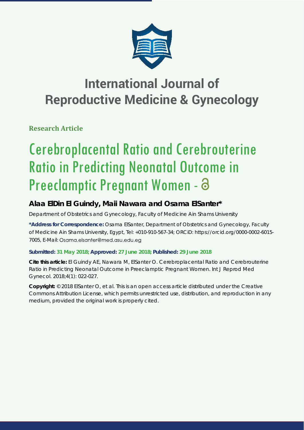

## **International Journal of Reproductive Medicine & Gynecology**

**Research Article**

# Cerebroplacental Ratio and Cerebrouterine Ratio in Predicting Neonatal Outcome in Preeclamptic Pregnant Women -

## **Alaa ElDin El Guindy, Maii Nawara and Osama ElSanter\***

*Department of Obstetrics and Gynecology, Faculty of Medicine Ain Shams University*

**\*Address for Correspondence:** Osama ElSanter, Department of Obstetrics and Gynecology, Faculty of Medicine Ain Shams University, Egypt, Tel: +010-910-567-34; ORCiD: https://orcid.org/0000-0002-6015- 7005, E-Mail: Osama.elsanter@med.asu.edu.eg

### **Submitted: 31 May 2018; Approved: 27 June 2018; Published: 29 June 2018**

**Cite this article:** El Guindy AE, Nawara M, ElSanter O. Cerebroplacental Ratio and Cerebrouterine Ratio in Predicting Neonatal Outcome in Preeclamptic Pregnant Women. Int J Reprod Med Gynecol. 2018;4(1): 022-027.

**Copyright:** © 2018 ElSanter O, et al. This is an open access article distributed under the Creative Commons Attribution License, which permits unrestricted use, distribution, and reproduction in any medium, provided the original work is properly cited.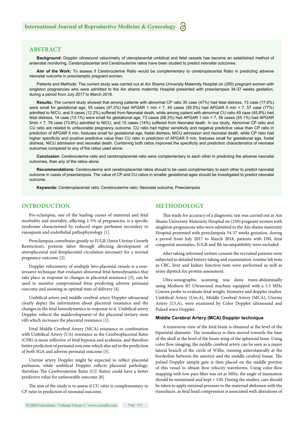#### **ABSTRACT**

**Background:** Doppler ultrasound velocimetry of uteroplacental umbilical and fetal vessels has become an established method of antenatal monitoring, Cerebroplacental and Cerebrouterine ratios have been studied to predict neonatal outcomes.

**Aim of the Work:** To assess if Cerebrouterine Ratio would be complementary to cerebroplacental Ratio in predicting adverse neonatal outcome in preeclamptic pregnant women.

Patients and Methods: The current study was carried out at Ain Shams University Maternity Hospital on (250) pregnant women with singleton pregnancies who were admitted to the Ain shams maternity Hospital presented with preeclampsia 34-37 weeks gestation, during a period from July 2017 to March 2018.

**Results:** The current study showed that among patients with abnormal CP ratio 35 case (47%) had fetal distress, 13 case (17.6%) were small for gestational age, 55 cases (47.3%) had APGAR 1 min < 7, 44 cases (59.5%) had APGAR 5 min < 7, 57 case (77%) admitted to NICU, and 9 cases (12.2%) suffered from Neonatal death, while among patient with abnormal CU ratio 49 case (45.8%) had fetal distress, 14 case (13.1%) were small for gestational age, 73 cases (68.2%) had APGAR 1 min < 7, 59 cases (55.1%) had APGAR 5min < 7, 79 case (73.8%) admitted to NICU, and 15 cases (14%) suffered from Neonatal death. In our study, Abnormal CP ratio and CU ratio are related to unfavorable pregnancy outcome. CU ratio had higher sensitivity and negative predictive value than CP ratio in prediction of APGAR 5 min, foetuses small for gestational age, foetal distress, NICU admission and neonatal death, while CP ratio had higher specificity and positive predictive value than CU ratio in prediction of APGAR 5 min, foetuses small for gestational age, foetal distress, NICU admission and neonatal death. Combining both ratios improved the specificity and prediction characteristics of neonatal outcomes compared to any of the ratios used alone.

**Conclusion:** Cerebrouterine ratio and cerebroplacental ratio were complementary to each other in predicting the adverse neonatal outcomes, than any of the ratios alone.

**Recommendations:** Cerebrouterine and cerebroplacental ratios should to be used complimentary to each other to predict neonatal outcome in cases of preeclampsia. The value of CP and CU ratios in smaller gestational ages should be investigated to predict neonatal outcome.

**Keywords:** Cerebroplacental ratio; Cerebrouterine ratio; Neonatal outcome; Preeclampsia

#### **INTRODUCTION**

Pre-eclampsia, one of the leading causes of maternal and fetal morbidity and mortality, affecting 2-5% of pregnancies, is a specific syndrome characterized by reduced organ perfusion secondary to vasospasm and endothelial pathophysiology [1].

Preeclampsia contributes greatly to IUGR (Intra Uterine Growth Restriction), preterm labor through affecting development of uteroplacental and fetoplacental circulation necessary for a normal pregnancy outcome [2].

Doppler velocimetry of multiple feto-placental vessels is a noninvasive technique that evaluates abnormal fetal hemodynamics that take place in response to changes in placental resistance [3], can be used to monitor compromised fetus predicting adverse perinatal outcome and assisting in optimal time of delivery [4].

Umbilical artery and middle cerebral artery Doppler ultrasound clearly depict the information about placental resistance and the changes in the fetal hemodynamics in response to it. Umbilical artery Doppler reflects the maldevelopment of the placental tertiary stem villi which increases the placental resistance [1].

Fetal Middle Cerebral Artery (MCA) resistance in combination with Umbilical Artery (UA) resistance as the Cerebroplacental Ratio (CPR) is more reflective of fetal hypoxia and acidemia, and therefore better prediction of perinatal outcome which also aid in the prediction of both SGA and adverse perinatal outcome [5].

Uterine artery Doppler might be expected to reflect placental perfusion, while umbilical Doppler reflects placental pathology, therefore The Cerebrouterine Ratio (CU Ratio) could have a better predictive value for unfavorable outcome [6].

The aim of the study is to assess if CU ratio is complementary to CP ratio in prediction of neonatal outcome.

#### **METHODOLOGY**

This study for accuracy of a diagnostic test was carried out at Ain Shams University Maternity Hospital on (250) pregnant women with singleton pregnancies who were admitted to the Ain shams maternity Hospital presented with preeclampsia 34-37 weeks gestation, during a period from July 2017 to March 2018, patients with DM, fetal congenital anomalies, IUGR and Rh incompatibility were excluded .

After taking informed written consent the recruited patients were subjected to detailed history taking and examination, routine lab tests as CBC, liver and kidney function tests were performed as well as urine dipstick for protein assessment.

Ultra-sonographic scanning was done trans-abdominally using Medison R5 Ultrasound machine equipped with a 3.5 MHz Convex probe to evaluate fetal weight, biometry and doppler studies. Umbilical Artery (Um.A), Middle Cerebral Artery (MCA), Uterine Artery (Ut.A), were examined by Color Doppler ultrasound and Pulsed wave Doppler.

#### **Middle Cerebral Artery (MCA) Doppler technique**

A transverse view of the fetal brain is obtained at the level of the biparietal diameter. The transducer is then moved towards the base of the skull at the level of the lesser wing of the sphenoid bone. Using color flow imaging, the middle cerebral artery can be seen as a major lateral branch of the circle of Willis, running anterolaterally at the borderline between the anterior and the middle cerebral fossae. The pulsed Doppler sample gate is then placed on the middle portion of this vessel to obtain flow velocity waveforms. Using color-flow mapping with low-pass filter was set at 50Hz, the angle of insonation should be minimized and kept < 150. During the studies, care should be taken to apply minimal pressure to the maternal abdomen with the transducer, as fetal head compression is associated with alterations of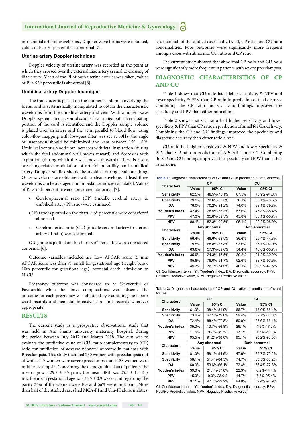intracranial arterial waveforms., Doppler wave forms were obtained, values of  $PI < 5<sup>th</sup>$  percentile is abnormal [7].

#### **Uterine artery Doppler technique**

Doppler velocity of uterine artery was recorded at the point at which they crossed over the external iliac artery cranial to crossing of iliac artery. Mean of the PI of both uterine arteries was taken, values of PI >  $95<sup>th</sup>$  percentile is abnormal [8].

#### **Umbilical artery Doppler technique**

The transducer is placed on the mother's abdomen overlying the foetus and is systematically manipulated to obtain the characteristic waveforms from the umbilical artery and vein. With a pulsed wave Doppler system, an ultrasound scan is first carried out, a free-floating portion of the cord is identified and the Doppler sample volume is placed over an artery and the vein, parallel to blood flow, using color-flow mapping with low-pass filter was set at 50Hz, the angle of insonation should be minimized and kept between 150 - 60°. Umbilical venous blood flow increases with fetal inspiration (during which the fetal abdominal wall moves inward) and decreases with expiration (during which the wall moves outward). There is also a breathing-related modulation of arterial pulsatility, and umbilical artery Doppler studies should be avoided during fetal breathing. Once waveforms are obtained with a clear envelope, at least three waveforms can be averaged and impedance indices calculated, Values of PI > 95th percentile were considered abnormal [7].

- Cerebroplacental ratio (CP) (middle cerebral artery to umbilical artery PI ratio) were estimated.
- (CP) ratio is plotted on the chart;  $<$  5<sup>th</sup> percentile were considered abnormal.
- Cerebrouterine ratio (CU) (middle cerebral artery to uterine artery PI ratio) were estimated.

(CU) ratio is plotted on the chart;  $<$  5<sup>th</sup> percentile were considered abnormal [6].

Outcome variables included are Low APGAR score (5 min APGAR score less than 7), small for gestational age (weight below 10th percentile for gestational age), neonatal death, admission to NICU.

Pregnancy outcome was considered to be Uneventful or Favourable when the above complications were absent. The outcome for each pregnancy was obtained by examining the labour ward records and neonatal intensive care unit records wherever appropriate.

#### **RESULTS**

The current study is a prospective observational study that was held in Ain Shams university maternity hospital, during the period between July 2017 and March 2018. The aim was to evaluate the predictive value of (CU) ratio complementary to (CP) ratio for prediction of adverse neonatal outcome in patients with Preeclampsia. This study included 250 women with preeclampsia out of which 117 women were severe preeclampsia and 133 women were mild preeclampsia. Concerning the demographic data of patients, the mean age was  $29.7 \pm 3.5$  years, the mean BMI was  $25.5 \pm 1.4$  Kg/ m2, the mean gestational age was  $35.5 \pm 0.9$  weeks and regarding the parity 34% of the women were PG and 66% were multipara. More than half of the studied cases had MCA-PI and Um-PI abnormalities, less than half of the studied cases had UtA-PI, CP ratio and CU ratio abnormalities. Poor outcomes were significantly more frequent among a cases with abnormal CU ratio and CP ratio.

The current study showed that abnormal CP ratio and CU ratio were significantly more frequent in patients with severe preeclampsia.

#### **DIAGNOSTIC CHARACTERISTICS OF CP AND CU**

Table 1 shows that CU ratio had higher sensitivity & NPV and lower specificity & PPV than CP ratio in prediction of fetal distress. Combining the CP ratio and CU ratio findings improved the specificity and PPV than either ratio alone.

Table 2 shows that CU ratio had higher sensitivity and lower specificity & PPV than CP ratio in prediction of small for GA delivery. Combining the CP and CU findings improved the specificity and diagnostic accuracy than either ratio alone.

CU ratio had higher sensitivity & NPV and lower specificity & PPV than CP ratio in prediction of APGAR 1 min < 7. Combining the CP and CU findings improved the specificity and PPV than either ratio alone.

| Table 1: Diagnostic characteristics of CP and CU in prediction of fetal distress.                                                        |              |             |                      |             |
|------------------------------------------------------------------------------------------------------------------------------------------|--------------|-------------|----------------------|-------------|
| <b>Characters</b>                                                                                                                        | <b>CP</b>    |             | CU                   |             |
|                                                                                                                                          | Value        | 95% CI      | Value                | 95% CI      |
| <b>Sensitivity</b>                                                                                                                       | 62.5%        | 48.5%-75.1% | 87.5%                | 75.9%-94.8% |
| <b>Specificity</b>                                                                                                                       | 79.9%        | 73.6%-85.3% | 70.1%                | 63.1%-76.5% |
| DA                                                                                                                                       | 76.0%        | 70.2%-81.2% | 74.0%                | 68.1%-79.3% |
| Youden's index                                                                                                                           | 42.4%        | 28.5%-56.3% | 57.6%                | 46.8%-68.4% |
| PPV                                                                                                                                      | 47.3%        | 35.6%-59.3% | 45.8%                | 36.1%-55.7% |
| <b>NPV</b>                                                                                                                               | 88.1%        | 82.3%-92.5% | 95.1%                | 90.2%-98.0% |
| <b>Characters</b>                                                                                                                        | Any abnormal |             | <b>Both abnormal</b> |             |
|                                                                                                                                          | Value        | 95% CI      | Value                | 95% CI      |
| <b>Sensitivity</b>                                                                                                                       | 56.4%        | 48.6%-63.9% | 36.6%                | 29.4%-44.3% |
| <b>Specificity</b>                                                                                                                       | 79.5%        | 68.8%-87.8% | 93.6%                | 85.7%-97.9% |
| DA                                                                                                                                       | 63.6%        | 57.3%-69.6% | 54.4%                | 48.0%-60.7% |
| Youden's index                                                                                                                           | 35.9%        | 24.3%-47.5% | 30.2%                | 21.2%-39.2% |
| PPV                                                                                                                                      | 85.8%        | 78.0%-91.7% | 92.6%                | 83.7%-97.6% |
| <b>NPV</b>                                                                                                                               | 45.3%        | 36.7%-54.0% | 40.1%                | 32.9%-47.6% |
| CI: Confidence interval, YI: Youden's index, DA: Diagnostic accuracy, PPV:<br>Positive Predictive value, NPV: Negative Predictive value. |              |             |                      |             |

**Table 2:** Diagnostic characteristics of CP and CU ratios in prediction of small for GA

| <b>CP</b><br>CU<br><b>Characters</b><br>Value<br>95% CI<br>Value<br>95% CI<br><b>Sensitivity</b><br>61.9%<br>38.4%-81.9%<br>66.7%<br><b>Specificity</b><br>73.4%<br>67.1%-79.0%<br>59.4%<br>72.4%<br>60.0%<br><b>DA</b><br>66.4%-77.8%<br>Youden's index<br>35.3%<br>26.1%<br>13.7%-56.8%<br><b>PPV</b><br>17.6%<br>9.7%-28.2%<br>13.1%<br><b>NPV</b><br>95.5%<br>91.2%-98.0%<br>95.1%<br><b>Both abnormal</b><br>Any abnormal<br><b>Characters</b><br>Value<br>Value<br>95% CI<br>95% CI<br>81.0%<br>58.1%-94.6%<br>47.6%<br><b>Sensitivity</b><br><b>Specificity</b><br>58.1%<br>51.4%-64.5%<br>74.7%<br>60.0%<br>53.6%-66.1%<br>72.4%<br>DA<br>Youden's index<br>39.0%<br>21.1%-57.0%<br>22.3%<br><b>PPV</b><br>15.0%<br>9.0%-23.0%<br>14.7%<br><b>NPV</b><br>97.1%<br>92.7%-99.2%<br>94.0%<br>CI: Confidence interval, YI: Youden's index, DA: Diagnostic accuracy, PPV: |  |  |  |  |                  |  |
|------------------------------------------------------------------------------------------------------------------------------------------------------------------------------------------------------------------------------------------------------------------------------------------------------------------------------------------------------------------------------------------------------------------------------------------------------------------------------------------------------------------------------------------------------------------------------------------------------------------------------------------------------------------------------------------------------------------------------------------------------------------------------------------------------------------------------------------------------------------------------|--|--|--|--|------------------|--|
|                                                                                                                                                                                                                                                                                                                                                                                                                                                                                                                                                                                                                                                                                                                                                                                                                                                                              |  |  |  |  |                  |  |
|                                                                                                                                                                                                                                                                                                                                                                                                                                                                                                                                                                                                                                                                                                                                                                                                                                                                              |  |  |  |  |                  |  |
|                                                                                                                                                                                                                                                                                                                                                                                                                                                                                                                                                                                                                                                                                                                                                                                                                                                                              |  |  |  |  | 43.0%-85.4%      |  |
|                                                                                                                                                                                                                                                                                                                                                                                                                                                                                                                                                                                                                                                                                                                                                                                                                                                                              |  |  |  |  | 52.7%-65.8%      |  |
|                                                                                                                                                                                                                                                                                                                                                                                                                                                                                                                                                                                                                                                                                                                                                                                                                                                                              |  |  |  |  | 53.6%-66.1%      |  |
|                                                                                                                                                                                                                                                                                                                                                                                                                                                                                                                                                                                                                                                                                                                                                                                                                                                                              |  |  |  |  | 4.9%-47.2%       |  |
|                                                                                                                                                                                                                                                                                                                                                                                                                                                                                                                                                                                                                                                                                                                                                                                                                                                                              |  |  |  |  | 7.3%-21.0%       |  |
|                                                                                                                                                                                                                                                                                                                                                                                                                                                                                                                                                                                                                                                                                                                                                                                                                                                                              |  |  |  |  | 90.2%-98.0%      |  |
|                                                                                                                                                                                                                                                                                                                                                                                                                                                                                                                                                                                                                                                                                                                                                                                                                                                                              |  |  |  |  |                  |  |
|                                                                                                                                                                                                                                                                                                                                                                                                                                                                                                                                                                                                                                                                                                                                                                                                                                                                              |  |  |  |  |                  |  |
|                                                                                                                                                                                                                                                                                                                                                                                                                                                                                                                                                                                                                                                                                                                                                                                                                                                                              |  |  |  |  | 25.7%-70.2%      |  |
|                                                                                                                                                                                                                                                                                                                                                                                                                                                                                                                                                                                                                                                                                                                                                                                                                                                                              |  |  |  |  | 68.5%-80.2%      |  |
|                                                                                                                                                                                                                                                                                                                                                                                                                                                                                                                                                                                                                                                                                                                                                                                                                                                                              |  |  |  |  | 66.4%-77.8%      |  |
|                                                                                                                                                                                                                                                                                                                                                                                                                                                                                                                                                                                                                                                                                                                                                                                                                                                                              |  |  |  |  | $0.2\% - 44.4\%$ |  |
|                                                                                                                                                                                                                                                                                                                                                                                                                                                                                                                                                                                                                                                                                                                                                                                                                                                                              |  |  |  |  | 7.3%-25.4%       |  |
|                                                                                                                                                                                                                                                                                                                                                                                                                                                                                                                                                                                                                                                                                                                                                                                                                                                                              |  |  |  |  | 89.4%-96.9%      |  |
|                                                                                                                                                                                                                                                                                                                                                                                                                                                                                                                                                                                                                                                                                                                                                                                                                                                                              |  |  |  |  |                  |  |

Positive Predictive value, NPV: Negative Predictive value.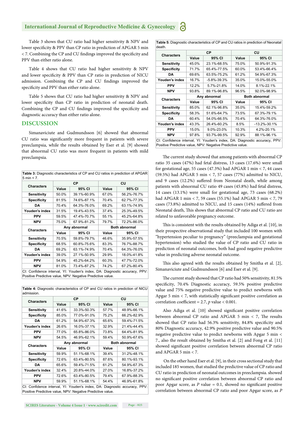#### **International Journal of Reproductive Medicine & Gynecology**

Table 3 shows that CU ratio had higher sensitivity & NPV and lower specificity & PPV than CP ratio in prediction of APGAR 5 min  $<$  7. Combining the CP and CU findings improved the specificity and PPV than either ratio alone.

Table 4 shows that CU ratio had higher sensitivity & NPV and lower specificity & PPV than CP ratio in prediction of NICU admission. Combining the CP and CU findings improved the specificity and PPV than either ratio alone.

Table 5 shows that CU ratio had higher sensitivity & NPV and lower specificity than CP ratio in prediction of neonatal death. Combining the CP and CU findings improved the specificity and diagnostic accuracy than either ratio alone.

#### **DISCUSSION**

Simanaviciute and Gudmundsson [6] showed that abnormal CU ratio was significantly more frequent in patients with severe preeclampsia, while the results obtained by Eser et al. [9] showed that abnormal CU ratio was more frequent in patients with mild preeclampsia. The current study showed that among patients with abnormal CP

| <b>Characters</b>  | <b>CP</b>    |             | CU                   |             |  |
|--------------------|--------------|-------------|----------------------|-------------|--|
|                    | Value        | 95% CI      | Value                | 95% CI      |  |
| <b>Sensitivity</b> | 50.0%        | 39.1%-60.9% | 67.0%                | 56.2%-76.7% |  |
| <b>Specificity</b> | 81.5%        | 74.6%-87.1% | 70.4%                | 62.7%-77.3% |  |
| <b>DA</b>          | 70.4%        | 64.3%-76.0% | 69.2%                | 63.1%-74.9% |  |
| Youden's index     | 31.5%        | 19.4%-43.5% | 37.4%                | 25.3%-49.5% |  |
| <b>PPV</b>         | 59.5%        | 47.4%-70.7% | 55.1%                | 45.2%-64.8% |  |
| <b>NPV</b>         | 75.0%        | 67.9%-81.2% | 79.7%                | 72.2%-86.0% |  |
| <b>Characters</b>  | Any abnormal |             | <b>Both abnormal</b> |             |  |
|                    | Value        | 95% CI      | Value                | 95% CI      |  |
| <b>Sensitivity</b> | 70.5%        | 59.8%-79.7% | 46.6%                | 35.9%-57.5% |  |
| <b>Specificity</b> | 68.5%        | 60.8%-75.6% | 83.3%                | 76.7%-88.7% |  |
| DA                 | 69.2%        | 63.1%-74.9% | 70.4%                | 64.3%-76.0% |  |
| Youden's index     | 39.0%        | 27.1%-50.9% | 29.9%                | 18.0%-41.8% |  |
| <b>PPV</b>         | 54.9%        | 45.2%-64.2% | 60.3%                | 47.7%-72.0% |  |
| <b>NPV</b>         | 81.0%        | 73.4%-87.2% | 74.2%                | 67.2%-80.4% |  |

**Table 4:** Diagnostic characteristics of CP and CU ratios in prediction of NICU admission.

| <b>CP</b>    |             | CU                   |                                                                            |  |
|--------------|-------------|----------------------|----------------------------------------------------------------------------|--|
| Value        | 95% CI      | Value                | 95% CI                                                                     |  |
| 41.6%        | 33.3%-50.3% | 57.7%                | 48.9%-66.1%                                                                |  |
| 85.0%        | 77.0%-91.0% | 75.2%                | 66.2%-82.9%                                                                |  |
| 61.2%        | 54.9%-67.3% | 65.6%                | 59.4%-71.5%                                                                |  |
| 26.6%        | 16.0%-37.1% | 32.9%                | 21.4%-44.4%                                                                |  |
| 77.0%        | 65.8%-86.0% | 73.8%                | 64.4%-81.9%                                                                |  |
| 54.5%        | 46.9%-62.1% | 59.4%                | 50.9%-67.6%                                                                |  |
| Any abnormal |             | <b>Both abnormal</b> |                                                                            |  |
| Value        | 95% CI      | Value                | 95% CI                                                                     |  |
| 59.9%        | 51.1%-68.1% | 39.4%                | 31.2%-48.1%                                                                |  |
| 72.6%        | 63.4%-80.5% | 87.6%                | 80.1%-93.1%                                                                |  |
| 65.6%        | 59.4%-71.5% | 61.2%                | 54.9%-67.3%                                                                |  |
| 32.4%        | 20.8%-44.0% | 27.0%                | 16.8%-37.2%                                                                |  |
| 72.6%        | 63.4%-80.5% | 79.4%                | 67.9%-88.3%                                                                |  |
| 59.9%        | 51.1%-68.1% | 54.4%                | 46.9%-61.8%                                                                |  |
|              |             |                      |                                                                            |  |
|              |             |                      | CI: Confidence interval, YI: Youden's index, DA: Diagnostic accuracy, PPV: |  |

Positive Predictive value, NPV: Negative Predictive value.

| death.             |              |                   |                      |                    |  |
|--------------------|--------------|-------------------|----------------------|--------------------|--|
| <b>Characters</b>  | <b>CP</b>    |                   | CU                   |                    |  |
|                    | Value        | 95% CI            | Value                | 95% CI             |  |
| <b>Sensitivity</b> | 45.0%        | 23.1%-68.5%       | 75.0%                | 50.9%-91.3%        |  |
| <b>Specificity</b> | 71.7%        | 65.4%-77.5%       | 60.0%                | 53.4%-66.4%        |  |
| DA                 | 69.6%        | 63.5%-75.2%       | 61.2%                | 54.9%-67.3%        |  |
| Youden's index     | 16.7%        | $-5.8\% - 39.3\%$ | 35.0%                | 15.0%-55.0%        |  |
| <b>PPV</b>         | 12.2%        | 5.7%-21.8%        | 14.0%                | 8.1%-22.1%         |  |
| <b>NPV</b>         | 93.8%        | 89.1%-96.8%       | 96.5%                | 92.0%-98.9%        |  |
| <b>Characters</b>  | Any abnormal |                   | <b>Both abnormal</b> |                    |  |
|                    | Value        | 95% CI            | Value                | 95% CI             |  |
| <b>Sensitivity</b> | 85.0%        | 62.1%-96.8%       | 35.0%                | 15.4%-59.2%        |  |
| <b>Specificity</b> | 58.3%        | 51.6%-64.7%       | 73.5%                | 67.3%-79.1%        |  |
| DA                 | 60.4%        | 54.0%-66.5%       | 70.4%                | 64.3%-76.0%        |  |
| Youden's index     | 43.3%        | 26.4%-60.2%       | 8.5%                 | $-13.2\% - 30.1\%$ |  |
|                    |              |                   |                      |                    |  |
| <b>PPV</b>         | 15.0%        | 9.0%-23.0%        | 10.3%                | 4.2%-20.1%         |  |
| <b>NPV</b>         | 97.8%        | 93.7%-99.5%       | 92.9%                | 88.1%-96.1%        |  |

**Table 5:** Diagnostic characteristics of CP and CU ratios in prediction of Neonatal

Positive Predictive value, NPV: Negative Predictive value.

ratio 35 cases (47%) had fetal distress, 13 cases (17.6%) were small for gestational age, 55 cases (47.3%) had APGAR 1 min < 7, 44 cases (59.5%) had APGAR 5 min < 7, 57 cases (77%) admitted to NICU, and 9 cases (12.2%) suffered from Neonatal death, while among patients with abnormal CU ratio 49 cases (45.8%) had fetal distress, 14 cases (13.1%) were small for gestational age, 73 cases (68.2%) had APGAR 1 min < 7, 59 cases (55.1%) had APGAR 5 min < 7, 79 cases (73.8%) admitted to NICU, and 15 cases (14%) suffered from Neonatal death, This shows that abnormal CP ratio and CU ratio are related to unfavorable pregnancy outcome.

This is consistent with the results obtained by Adiga et al. [10], in their prospective observational study that included 100 women with "hypertension peculiar to pregnancy" (preeclampsia and gestational hypertension) who studied the value of CP ratio and CU ratio in prediction of neonatal outcomes, both had good negative predictive value in predicting adverse neonatal outcome.

This also agreed with the results obtained by Smitha et al. [2], Simanaviciute and Gudmundsson [6] and Eser et al. [9].

The current study showed that CP ratio had 50% sensitivity, 81.5% specificity, 70.4% Diagnostic accuracy, 59.5% positive predictive value and 75% negative predictive value to predict newborns with Apgar 5 min  $<$  7, with statistically significant positive correlation as correlation coefficient = 2.7,  $p$  value < 0.001.

Also Adiga et al. [10] showed significant positive correlation between abnormal CP ratio and APGAR  $5$  min  $<$  7, The results showed that CP ratio had 56.3% sensitivity, 84.8% specificity and 80% Diagnostic accuracy, 42.9% positive predictive value and 90.5% negative predictive value to predict newborns with Apgar 5 min < 7., also the result obtained by Smitha et al. [2] and Fong et al. [11] showed significant positive correlation between abnormal CP ratio and APGAR 5 min  $< 7$ .

 On the other hand Eser et al. [9], in their cross sectional study that included 185 women, that studied the predictive value of CP ratio and CU ratio in prediction of neonatal outcomes in preeclampsia. showed no significant positive correlation between abnormal CP ratio and poor Apgar score, as  $P$  value = 0.1, showed no significant positive correlation between abnormal CP ratio and poor Apgar score, as *P*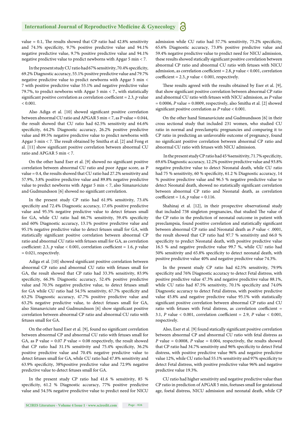value =  $0.1$ , The results showed that CP ratio had  $42.8\%$  sensitivity and 74.3% specificity, 9.7% positive predictive value and 94.1% negative predictive value, 9.7% positive predictive value and 94.1% negative predictive value to predict newborns with Apgar 5 min < 7.

In the present study CU ratio had 67% sensitivity, 70.4% specificity, 69.2% Diagnostic accuracy, 55.1% positive predictive value and 79.7% negative predictive value to predict newborns with Apgar 5 min < 7 with positive predictive value 55.1% and negative predictive value 79.7%, to predict newborns with Apgar 5 min < 7., with statistically significant positive correlation as correlation coefficient =  $2.3$ , *p* value  $< 0.001$ .

Also Adiga et al. [10] showed significant positive correlation between abnormal CU ratio and APGAR 5 min < 7, as P value = 0.044, the result showed that CU ratio had 62.5% sensitivity and 64.6% specificity, 64.2% Diagnostic accuracy, 26.2% positive predictive value and 89.5% negative predictive value to predict newborns with Apgar 5 min  $<$  7. The result obtained by Smitha et al. [2] and Fong et al. [11] show significant positive correlation between abnormal CU ratio and APGAR 5 min < 7.

On the other hand Eser et al. [9] showed no significant positive correlation between abnormal CU ratio and poor Apgar score, as P value = 0.4, the results showed that CU ratio had 27.2% sensitivity and 57.9%, 3.8% positive predictive value and 89.8% negative predictive value to predict newborns with Apgar 5 min < 7, also Simanaviciute and Gudmundsson [6] showed no significant correlation.

In the present study CP ratio had 61.9% sensitivity, 73.4% specificity and 72.4% Diagnostic accuracy, 17.6% positive predictive value and 95.5% negative predictive value to detect fetuses small for GA, while CU ratio had 66.7% sensitivity, 59.4% specificity and 60% Diagnostic accuracy, 13.1% positive predictive value and 95.1% negative predictive value to detect fetuses small for GA, with statistically significant positive correlation between abnormal CP ratio and abnormal CU ratio with fetuses small for GA, as correlation coefficient: 2.3,  $p$  value < 0.001, correlation coefficient = 1.6,  $p$  value = 0.021, respectively.

Adiga et al. [10] showed significant positive correlation between abnormal CP ratio and abnormal CU ratio with fetuses small for GA, the result showed that CP ratio had 33.3% sensitivity, 83.9% specificity, 66.3% Diagnostic accuracy, 52.4% positive predictive value and 70.3% negative predictive value, to detect fetuses small for GA while CU ratio had 54.5% sensitivity, 67.7% specificity and 63.2% Diagnostic accuracy, 47.7% positive predictive value and 63.2% negative predictive value, to detect fetuses small for GA, also Simanaviciute and Gudmundsson [6] show significant positive correlation between abnormal CP ratio and abnormal CU ratio with fetuses small for GA.

On the other hand Eser et al. [9], found no significant correlation between abnormal CP and abnormal CU ratio with fetuses small for GA, as P value = 0.07 *P* value = 0.08 respectively, the result showed that CP ratio had  $31.1\%$  sensitivity and  $75.4\%$  specificity,  $36.2\%$ positive predictive value and 70.4% negative predictive value to detect fetuses small for GA, while CU ratio had 47.8% sensitivity and 63.9% specificity, 38%positive predictive value and 72.9% negative predictive value to detect fetuses small for GA.

In the present study CP ratio had 41.6 % sensitivity, 85 % specificity, 61.2 % Diagnostic accuracy, 77% positive predictive value and 54.5% negative predictive value to predict need for NICU admission while CU ratio had 57.7% sensitivity, 75.2% specificity, 65.6% Diagnostic accuracy, 73.8% positive predictive value and 59.4% negative predictive value to predict need for NICU admission, these results showed statically significant positive correlation between abnormal CP ratio and abnormal CU ratio with fetuses with NICU admission, as correlation coefficient = 2.8,  $p$  value < 0.001, correlation coefficient = 2.3,  $p$  value < 0.001, respectively.

These results agreed with the results obtained by Eser et al. [9], that show significant positive correlation between abnormal CP ratio and abnormal CU ratio with fetuses with NICU admission, as *P* value  $= 0.0006$ , *P* value  $= 0.0009$ , respectively, also Smitha et al. [2] showed significant positive correlation as  $P$  value < 0.001.

On the other hand Simanaviciute and Gudmundsson [6] in their cross sectional study that included 231 women, who studied CU ratio in normal and preeclamptic pregnancies and comparing it to CP ratio in predicting an unfavorable outcome of pregnancy, found no significant positive correlation between abnormal CP ratio and abnormal CU ratio with fetuses with NICU admission.

In the present study CP ratio had 45 % sensitivity, 71.7% specificity, 69.6% Diagnostic accuracy, 12.2% positive predictive value and 93.8% negative predictive value to detect Neonatal death, while CU ratio had 75 % sensitivity, 60 % specificity, 61.2 % Diagnostic accuracy, 14 % positive predictive value and 96.5 % negative predictive value to detect Neonatal death, showed no statistically significant correlation between abnormal CP ratio and Neonatal death, as correlation coefficient = 1.6, *p* value = 0.116.

Shahinaj et al. [12], in their prospective observational study that included 738 singleton pregnancies, that studied The value of the CP ratio in the prediction of neonatal outcome in patient with preeclampsia, found positive correlation and statistically significant between abnormal CP ratio and Neonatal death as *P* value < .0001, the result showed that CP ratio had 97.7 % sensitivity and 66.0 % specificity to predict Neonatal death, with positive predictive value 16.5 % and negative predictive value 99.7 %, while CU ratio had 50% sensitivity and 65.8% specificity to detect neonatal death, with positive predictive value 40% and negative predictive value 74.3%.

In the present study CP ratio had 62.5% sensitivity, 79.9% specificity and 76% Diagnostic accuracy to detect Fetal distress, with positive predictive value 47.3% and negative predictive value 88.1%, while CU ratio had 87.5% sensitivity, 70.1% specificity and 74.0% Diagnostic accuracy to detect Fetal distress, with positive predictive value 45.8% and negative predictive value 95.1% with statistically significant positive correlation between abnormal CP ratio and CU ratio with fetuses with Fetal distress, as correlation coefficient  $=$ 3.1,  $P$  value < 0.001, correlation coefficient = 2.9,  $P$  value < 0.001, respectively.

Also, Eser et al. [9] found statically significant positive correlation between abnormal CP and abnormal CU ratio with fetal distress as *P* value =  $0.0008$ , *P* value =  $0.004$ , respectively, the results showed that CP ratio had 34.7% sensitivity and 96% specificity to detect Fetal distress, with positive predictive value 96% and negative predictive value 12%, while CU ratio had 55.1% sensitivity and 97% specificity to detect Fetal distress, with positive predictive value 96% and negative predictive value 19.3%.

CU ratio had higher sensitivity and negative predictive value than CP ratio in prediction of APGAR 5 min, foetuses small for gestational age, foetal distress, NICU admission and neonatal death, while CP